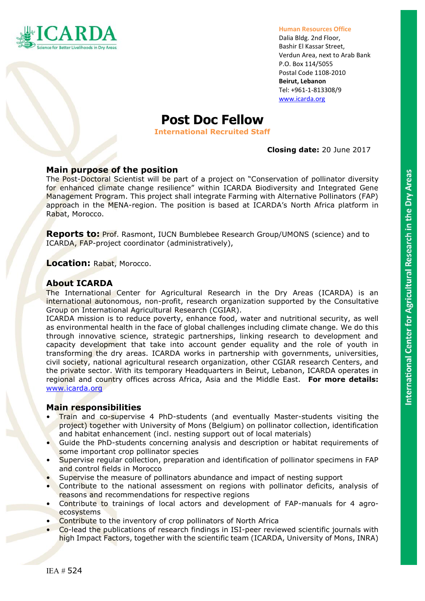

#### **Human Resources Office**

Dalia Bldg. 2nd Floor, Bashir El Kassar Street, Verdun Area, next to Arab Bank P.O. Box 114/5055 Postal Code 1108-2010 **Beirut, Lebanon** Tel: +961-1-813308/9 [www.icarda.org](http://www.icarda.org/)

# **Post Doc Fellow**

**International Recruited Staff**

# **Closing date:** 20 June 2017

# **Main purpose of the position**

The Post-Doctoral Scientist will be part of a project on "Conservation of pollinator diversity for enhanced climate change resilience" within ICARDA Biodiversity and Integrated Gene Management Program. This project shall integrate Farming with Alternative Pollinators (FAP) approach in the MENA-region. The position is based at ICARDA's North Africa platform in Rabat, Morocco.

**Reports to:** Prof. Rasmont, IUCN Bumblebee Research Group/UMONS (science) and to ICARDA, FAP-project coordinator (administratively),

**Location:** Rabat, Morocco.

# **About ICARDA**

The International Center for Agricultural Research in the Dry Areas (ICARDA) is an international autonomous, non-profit, research organization supported by the Consultative Group on International Agricultural Research (CGIAR).

ICARDA mission is to reduce poverty, enhance food, water and nutritional security, as well as environmental health in the face of global challenges including climate change. We do this through innovative science, strategic partnerships, linking research to development and capacity development that take into account gender equality and the role of youth in transforming the dry areas. ICARDA works in partnership with governments, universities, civil society, national agricultural research organization, other CGIAR research Centers, and the private sector. With its temporary Headquarters in Beirut, Lebanon, ICARDA operates in regional and country offices across Africa, Asia and the Middle East. **For more details:** [www.icarda.org](http://www.icarda.org/)

# **Main responsibilities**

- Train and co-supervise 4 PhD-students (and eventually Master-students visiting the project) together with University of Mons (Belgium) on pollinator collection, identification and habitat enhancement (incl. nesting support out of local materials)
- Guide the PhD-students concerning analysis and description or habitat requirements of some important crop pollinator species
- Supervise regular collection, preparation and identification of pollinator specimens in FAP and control fields in Morocco
- Supervise the measure of pollinators abundance and impact of nesting support
- Contribute to the national assessment on regions with pollinator deficits, analysis of reasons and recommendations for respective regions
- Contribute to trainings of local actors and development of FAP-manuals for 4 agroecosystems
- Contribute to the inventory of crop pollinators of North Africa
- Co-lead the publications of research findings in ISI-peer reviewed scientific journals with high Impact Factors, together with the scientific team (ICARDA, University of Mons, INRA)

IEA # 524